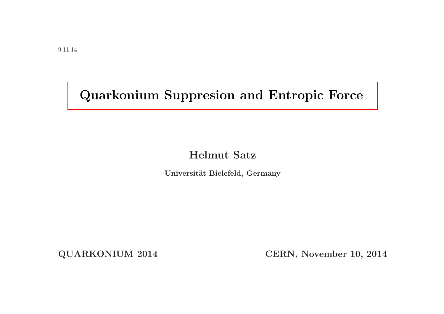# Quarkonium Suppresion and Entropic Force

### Helmut Satz

Universität Bielefeld, Germany

QUARKONIUM 2014 CERN, November 10, 2014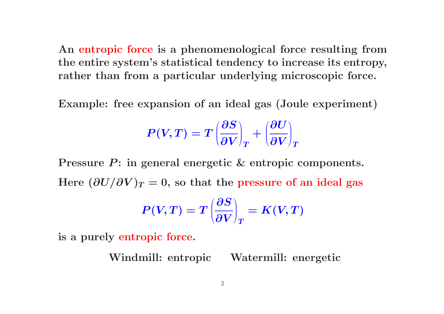An entropic force is a phenomenological force resulting from the entire system's statistical tendency to increase its entropy, rather than from <sup>a</sup> particular underlying microscopic force.

Example: free expansion of an ideal gas (Joule experiment)

$$
P(V,T)=T\left(\frac{\partial S}{\partial V}\right)_{T}+\left(\frac{\partial U}{\partial V}\right)_{T}
$$

Pressure  $P$ : in general energetic  $\&$  entropic components. Here  $(\partial U/\partial V)_T = 0$ , so that the pressure of an ideal gas

$$
P(V,T) = T\left(\!\frac{\partial S}{\partial V}\!\right)_T = K(V,T)
$$

is <sup>a</sup> purely entropic force.

Windmill: entropic Watermill: energetic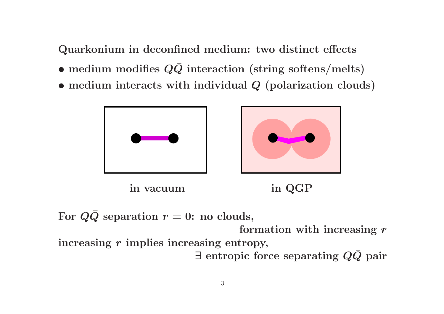Quarkonium in deconfined medium: two distinct effects

- $\bullet$  medium modifies  $Q\bar Q$  interaction (string softens/melts)
- medium interacts with individual Q (polarization clouds)





in vacuum in QGP

For  $Q\bar Q$  separation  $r=0:$  no clouds, formation with increasing  $r$ increasing  $\boldsymbol{r}$  implies increasing entropy,  $\exists$  entropic force separating  $Q\bar Q$  pair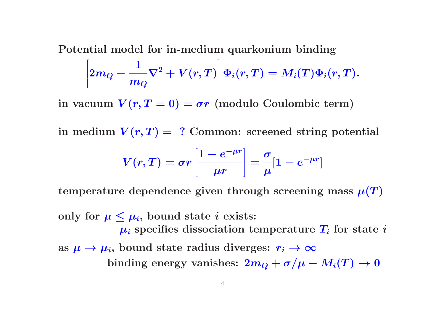Potential model for in-medium quarkonium binding

$$
\left[2m_Q-\frac{1}{m_Q}\nabla^2+V(r,T)\right]\Phi_i(r,T)=M_i(T)\Phi_i(r,T).
$$

in vacuum  $V(r,T=0)=\boldsymbol{\sigma} r \,\, \mathrm{(modulo\,\, Coulombic\,\,term)}$ 

in medium  $V(r,T) = ?$  Common: screened string potential

$$
V(r,T)=\sigma r\left[\frac{1-e^{-\mu r}}{\mu r}\right]=\frac{\sigma}{\mu}[1-e^{-\mu r}]
$$

temperature dependence given through screening mass  $\mu(T)$ 

only for  $\mu \leq \mu_i$ , bound state *i* exists:  $\mu_i$  specifies dissociation temperature  $T_i$  for state  $i$ as  $\mu \to \mu_i$ , bound state radius diverges:  $r_i \to \infty$ binding energy vanishes:  $2m_Q + \sigma/\mu - M_i(T) \rightarrow 0$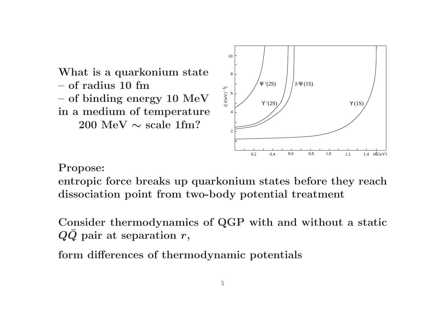



#### Propose:

entropic force breaks up quarkonium states before they reach dissociation point from two-body potential treatment

Consider thermodynamics of QGP with and without a static  $Q\overline{Q}$  pair at separation  $r$ ,

form differences of thermodynamic potentials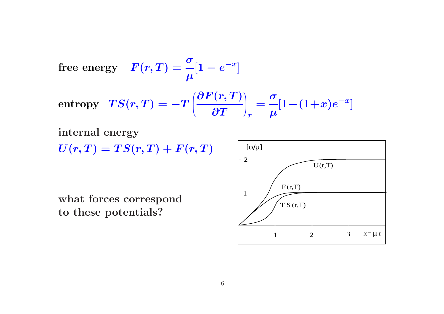free energy 
$$
F(r,T) = \frac{\sigma}{\mu} [1 - e^{-x}]
$$
  
\nentropy  $TS(r,T) = -T \left( \frac{\partial F(r,T)}{\partial T} \right)_r = \frac{\sigma}{\mu} [1 - (1+x)e^{-x}]$ 

internal energy

 $U(r,T) = TS(r,T) + F(r,T)$ 

what forces correspond to these potentials?

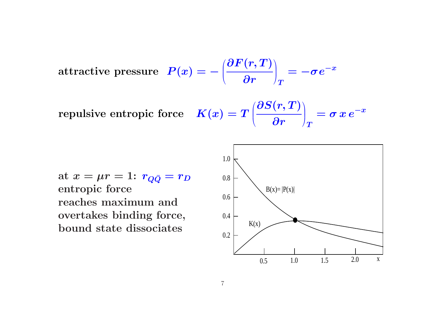$$
\text{attractive pressure}\ \ \, P(x)=-\left(\!\frac{\partial F(r,T)}{\partial r}\!\right)_T=-\sigma e^{-x}
$$

repulsive entropic force 
$$
K(x) = T \left( \frac{\partial S(r,T)}{\partial r} \right)_T = \sigma x e^{-x}
$$

at  $x = \mu r = 1: r_{Q\bar{Q}} = r_D$ entropic force reaches maximum and overtakes binding force, bound state dissociates

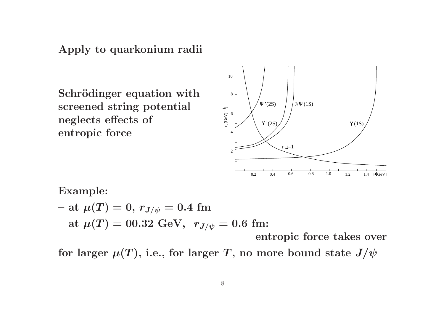Apply to quarkonium radii

Schrödinger equation with screened string potential neglects effects of entropic force



#### Example:

 $- \; {\rm at} \; \mu(T) = 0, \, r_{J/\psi} = 0.4 \; {\rm fm}$  $-~\mathrm{at}~\mu(T) = 00.32\,\,\mathrm{GeV},\,\,\,r_{J/\psi} = 0.6\,\,\mathrm{fm};$ entropic force takes over

for larger  $\mu(T),$  i.e., for larger  $T,$  no more bound state  $J/\psi$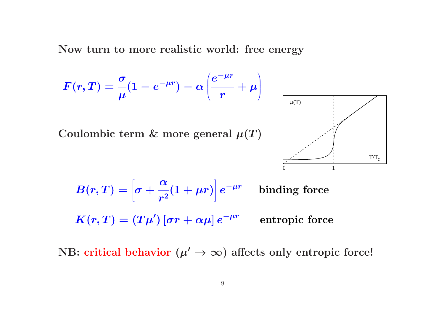Now turn to more realistic world: free energy

$$
F(r,T) = \frac{\sigma}{\mu}(1-e^{-\mu r}) - \alpha \left(\frac{e^{-\mu r}}{r} + \mu\right)
$$

Coulombic term  $\&$  more general  $\mu(T)$ 



$$
B(r,T) = \left[\sigma + \frac{\alpha}{r^2}(1+\mu r)\right]e^{-\mu r}
$$
 binding force  

$$
K(r,T) = (T\mu')\left[\sigma r + \alpha \mu\right]e^{-\mu r}
$$
entropic force

NB: critical behavior  $(\mu' \to \infty)$  affects only entropic force!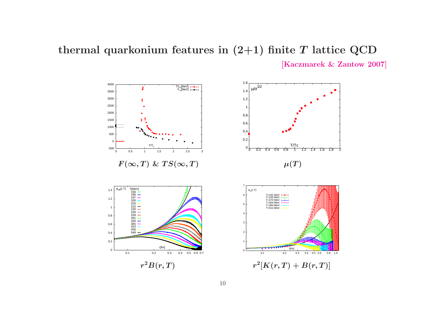## thermal quarkonium features in  $(2+1)$  finite T lattice QCD

[Kaczmarek & Zantow 2007]